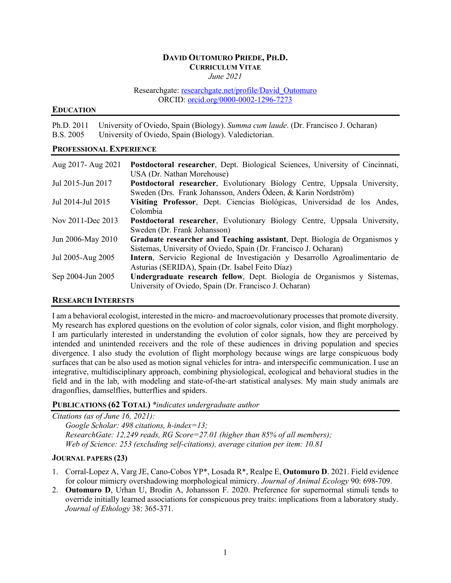### **DAVID OUTOMURO PRIEDE, PH.D. CURRICULUM VITAE** *June 2021*

Researchgate: researchgate.net/profile/David\_Outomuro ORCID: orcid.org/0000-0002-1296-7273

### **EDUCATION**

Ph.D. 2011 University of Oviedo, Spain (Biology). *Summa cum laude*. (Dr. Francisco J. Ocharan) B.S. 2005 University of Oviedo, Spain (Biology). Valedictorian.

## **PROFESSIONAL EXPERIENCE**

| Aug 2017- Aug 2021 | Postdoctoral researcher, Dept. Biological Sciences, University of Cincinnati, |
|--------------------|-------------------------------------------------------------------------------|
|                    | USA (Dr. Nathan Morehouse)                                                    |
| Jul 2015-Jun 2017  | Postdoctoral researcher, Evolutionary Biology Centre, Uppsala University,     |
|                    | Sweden (Drs. Frank Johansson, Anders Ödeen, & Karin Nordström)                |
| Jul 2014-Jul 2015  | Visiting Professor, Dept. Ciencias Biológicas, Universidad de los Andes,      |
|                    | Colombia                                                                      |
| Nov 2011-Dec 2013  | Postdoctoral researcher, Evolutionary Biology Centre, Uppsala University,     |
|                    | Sweden (Dr. Frank Johansson)                                                  |
| Jun 2006-May 2010  | Graduate researcher and Teaching assistant, Dept. Biología de Organismos y    |
|                    | Sistemas, University of Oviedo, Spain (Dr. Francisco J. Ocharan)              |
| Jul 2005-Aug 2005  | Intern, Servicio Regional de Investigación y Desarrollo Agroalimentario de    |
|                    | Asturias (SERIDA), Spain (Dr. Isabel Feito Díaz)                              |
| Sep 2004-Jun 2005  | Undergraduate research fellow, Dept. Biología de Organismos y Sistemas,       |
|                    | University of Oviedo, Spain (Dr. Francisco J. Ocharan)                        |

## **RESEARCH INTERESTS**

I am a behavioral ecologist, interested in the micro- and macroevolutionary processes that promote diversity. My research has explored questions on the evolution of color signals, color vision, and flight morphology. I am particularly interested in understanding the evolution of color signals, how they are perceived by intended and unintended receivers and the role of these audiences in driving population and species divergence. I also study the evolution of flight morphology because wings are large conspicuous body surfaces that can be also used as motion signal vehicles for intra- and interspecific communication. I use an integrative, multidisciplinary approach, combining physiological, ecological and behavioral studies in the field and in the lab, with modeling and state-of-the-art statistical analyses. My main study animals are dragonflies, damselflies, butterflies and spiders.

## **PUBLICATIONS (62 TOTAL)** *\*indicates undergraduate author*

*Citations (as of June 16, 2021): Google Scholar: 498 citations, h-index=13; ResearchGate: 12,249 reads, RG Score=27.01 (higher than 85% of all members); Web of Science: 253 (excluding self-citations), average citation per item: 10.81*

# **JOURNAL PAPERS (23)**

- 1. Corral-Lopez A, Varg JE, Cano-Cobos YP\*, Losada R\*, Realpe E, **Outomuro D**. 2021. Field evidence for colour mimicry overshadowing morphological mimicry. *Journal of Animal Ecology* 90: 698-709.
- 2. **Outomuro D**, Urhan U, Brodin A, Johansson F. 2020. Preference for supernormal stimuli tends to override initially learned associations for conspicuous prey traits: implications from a laboratory study. *Journal of Ethology* 38: 365-371.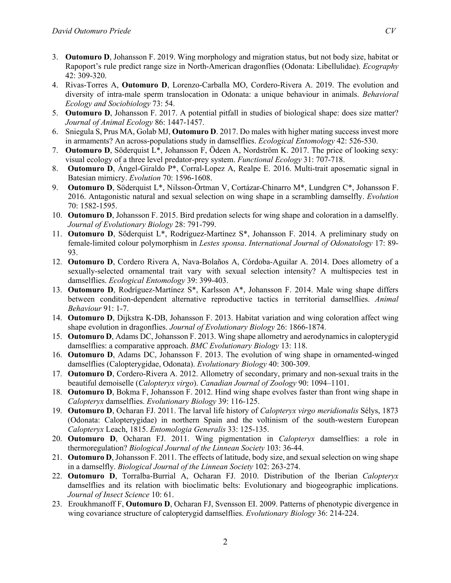- 3. **Outomuro D**, Johansson F. 2019. Wing morphology and migration status, but not body size, habitat or Rapoport's rule predict range size in North-American dragonflies (Odonata: Libellulidae). *Ecography* 42: 309-320.
- 4. Rivas-Torres A, **Outomuro D**, Lorenzo-Carballa MO, Cordero-Rivera A. 2019. The evolution and diversity of intra-male sperm translocation in Odonata: a unique behaviour in animals. *Behavioral Ecology and Sociobiology* 73: 54.
- 5. **Outomuro D**, Johansson F. 2017. A potential pitfall in studies of biological shape: does size matter? *Journal of Animal Ecology* 86: 1447-1457.
- 6. Sniegula S, Prus MA, Golab MJ, **Outomuro D**. 2017. Do males with higher mating success invest more in armaments? An across-populations study in damselflies. *Ecological Entomology* 42: 526-530.
- 7. **Outomuro D**, Söderquist L\*, Johansson F, Ödeen A, Nordström K. 2017. The price of looking sexy: visual ecology of a three level predator-prey system. *Functional Ecology* 31: 707-718.
- 8. **Outomuro D**, Ángel-Giraldo P\*, Corral-Lopez A, Realpe E. 2016. Multi-trait aposematic signal in Batesian mimicry. *Evolution* 70: 1596-1608.
- 9. **Outomuro D**, Söderquist L\*, Nilsson-Örtman V, Cortázar-Chinarro M\*, Lundgren C\*, Johansson F. 2016. Antagonistic natural and sexual selection on wing shape in a scrambling damselfly. *Evolution* 70: 1582-1595.
- 10. **Outomuro D**, Johansson F. 2015. Bird predation selects for wing shape and coloration in a damselfly. *Journal of Evolutionary Biology* 28: 791-799.
- 11. **Outomuro D**, Söderquist L\*, Rodríguez-Martínez S\*, Johansson F. 2014. A preliminary study on female-limited colour polymorphism in *Lestes sponsa*. *International Journal of Odonatology* 17: 89- 93.
- 12. **Outomuro D**, Cordero Rivera A, Nava-Bolaños A, Córdoba-Aguilar A. 2014. Does allometry of a sexually-selected ornamental trait vary with sexual selection intensity? A multispecies test in damselflies. *Ecological Entomology* 39: 399-403.
- 13. **Outomuro D**, Rodríguez-Martínez S\*, Karlsson A\*, Johansson F. 2014. Male wing shape differs between condition-dependent alternative reproductive tactics in territorial damselflies. *Animal Behaviour* 91: 1-7.
- 14. **Outomuro D**, Dijkstra K-DB, Johansson F. 2013. Habitat variation and wing coloration affect wing shape evolution in dragonflies. *Journal of Evolutionary Biology* 26: 1866-1874.
- 15. **Outomuro D**, Adams DC, Johansson F. 2013. Wing shape allometry and aerodynamics in calopterygid damselflies: a comparative approach. *BMC Evolutionary Biology* 13: 118.
- 16. **Outomuro D**, Adams DC, Johansson F. 2013. The evolution of wing shape in ornamented-winged damselflies (Calopterygidae, Odonata). *Evolutionary Biology* 40: 300-309.
- 17. **Outomuro D**, Cordero-Rivera A. 2012. Allometry of secondary, primary and non-sexual traits in the beautiful demoiselle (*Calopteryx virgo*). *Canadian Journal of Zoology* 90: 1094–1101.
- 18. **Outomuro D**, Bokma F, Johansson F. 2012. Hind wing shape evolves faster than front wing shape in *Calopteryx* damselflies. *Evolutionary Biology* 39: 116-125.
- 19. **Outomuro D**, Ocharan FJ. 2011. The larval life history of *Calopteryx virgo meridionalis* Sélys, 1873 (Odonata: Calopterygidae) in northern Spain and the voltinism of the south-western European *Calopteryx* Leach, 1815. *Entomologia Generalis* 33: 125-135.
- 20. **Outomuro D**, Ocharan FJ. 2011. Wing pigmentation in *Calopteryx* damselflies: a role in thermoregulation? *Biological Journal of the Linnean Society* 103: 36-44.
- 21. **Outomuro D**, Johansson F. 2011. The effects of latitude, body size, and sexual selection on wing shape in a damselfly. *Biological Journal of the Linnean Society* 102: 263-274.
- 22. **Outomuro D**, Torralba-Burrial A, Ocharan FJ. 2010. Distribution of the Iberian *Calopteryx*  damselflies and its relation with bioclimatic belts: Evolutionary and biogeographic implications. *Journal of Insect Science* 10: 61.
- 23. Eroukhmanoff F, **Outomuro D**, Ocharan FJ, Svensson EI. 2009. Patterns of phenotypic divergence in wing covariance structure of calopterygid damselflies. *Evolutionary Biology* 36: 214-224.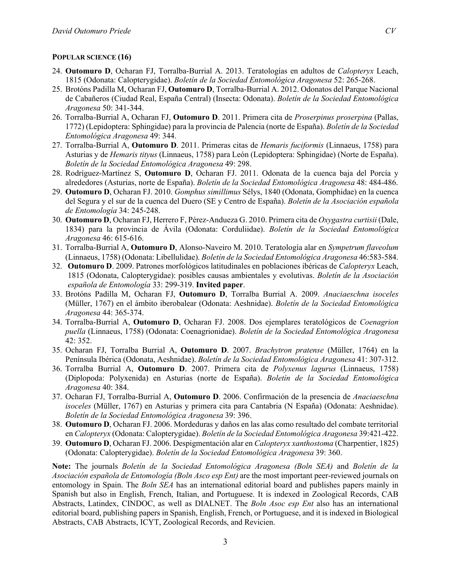#### **POPULAR SCIENCE (16)**

- 24. **Outomuro D**, Ocharan FJ, Torralba-Burrial A. 2013. Teratologías en adultos de *Calopteryx* Leach, 1815 (Odonata: Calopterygidae). *Boletín de la Sociedad Entomológica Aragonesa* 52: 265-268.
- 25. Brotóns Padilla M, Ocharan FJ, **Outomuro D**, Torralba-Burrial A. 2012. Odonatos del Parque Nacional de Cabañeros (Ciudad Real, España Central) (Insecta: Odonata). *Boletín de la Sociedad Entomológica Aragonesa* 50: 341-344.
- 26. Torralba-Burrial A, Ocharan FJ, **Outomuro D**. 2011. Primera cita de *Proserpinus proserpina* (Pallas, 1772) (Lepidoptera: Sphingidae) para la provincia de Palencia (norte de España). *Boletín de la Sociedad Entomológica Aragonesa* 49: 344.
- 27. Torralba-Burrial A, **Outomuro D**. 2011. Primeras citas de *Hemaris fuciformis* (Linnaeus, 1758) para Asturias y de *Hemaris tityus* (Linnaeus, 1758) para León (Lepidoptera: Sphingidae) (Norte de España). *Boletín de la Sociedad Entomológica Aragonesa* 49: 298.
- 28. Rodríguez-Martínez S, **Outomuro D**, Ocharan FJ. 2011. Odonata de la cuenca baja del Porcía y alrededores (Asturias, norte de España). *Boletín de la Sociedad Entomológica Aragonesa* 48: 484-486.
- 29. **Outomuro D**, Ocharan FJ. 2010. *Gomphus simillimus* Sélys, 1840 (Odonata, Gomphidae) en la cuenca del Segura y el sur de la cuenca del Duero (SE y Centro de España). *Boletín de la Asociación española de Entomología* 34: 245-248.
- 30. **Outomuro D**, Ocharan FJ, Herrero F, Pérez-Andueza G. 2010. Primera cita de *Oxygastra curtisii* (Dale, 1834) para la provincia de Ávila (Odonata: Corduliidae). *Boletín de la Sociedad Entomológica Aragonesa* 46: 615-616.
- 31. Torralba-Burrial A, **Outomuro D**, Alonso-Naveiro M. 2010. Teratología alar en *Sympetrum flaveolum*  (Linnaeus, 1758) (Odonata: Libellulidae). *Boletín de la Sociedad Entomológica Aragonesa* 46:583-584.
- 32. **Outomuro D**. 2009. Patrones morfológicos latitudinales en poblaciones ibéricas de *Calopteryx* Leach, 1815 (Odonata, Calopterygidae): posibles causas ambientales y evolutivas. *Boletín de la Asociación española de Entomología* 33: 299-319. **Invited paper**.
- 33. Brotóns Padilla M, Ocharan FJ, **Outomuro D**, Torralba Burrial A. 2009. *Anaciaeschna isoceles*  (Müller, 1767) en el ámbito iberobalear (Odonata: Aeshnidae). *Boletín de la Sociedad Entomológica Aragonesa* 44: 365-374.
- 34. Torralba-Burrial A, **Outomuro D**, Ocharan FJ. 2008. Dos ejemplares teratológicos de *Coenagrion puella* (Linnaeus, 1758) (Odonata: Coenagrionidae). *Boletín de la Sociedad Entomológica Aragonesa* 42: 352.
- 35. Ocharan FJ, Torralba Burrial A, **Outomuro D**. 2007. *Brachytron pratense* (Müller, 1764) en la Península Ibérica (Odonata, Aeshnidae). *Boletín de la Sociedad Entomológica Aragonesa* 41: 307-312.
- 36. Torralba Burrial A, **Outomuro D**. 2007. Primera cita de *Polyxenus lagurus* (Linnaeus, 1758) (Diplopoda: Polyxenida) en Asturias (norte de España). *Boletín de la Sociedad Entomológica Aragonesa* 40: 384.
- 37. Ocharan FJ, Torralba-Burrial A, **Outomuro D**. 2006. Confirmación de la presencia de *Anaciaeschna isoceles* (Müller, 1767) en Asturias y primera cita para Cantabria (N España) (Odonata: Aeshnidae). *Boletín de la Sociedad Entomológica Aragonesa* 39: 396.
- 38. **Outomuro D**, Ocharan FJ. 2006. Mordeduras y daños en las alas como resultado del combate territorial en *Calopteryx* (Odonata: Calopterygidae). *Boletín de la Sociedad Entomológica Aragonesa* 39:421-422.
- 39. **Outomuro D**, Ocharan FJ. 2006. Despigmentación alar en *Calopteryx xanthostoma* (Charpentier, 1825) (Odonata: Calopterygidae). *Boletín de la Sociedad Entomológica Aragonesa* 39: 360.

**Note:** The journals *Boletín de la Sociedad Entomológica Aragonesa (Boln SEA)* and *Boletín de la Asociación española de Entomología (Boln Asco esp Ent)* are the most important peer-reviewed journals on entomology in Spain. The *Boln SEA* has an international editorial board and publishes papers mainly in Spanish but also in English, French, Italian, and Portuguese. It is indexed in Zoological Records, CAB Abstracts, Latindex, CINDOC, as well as DIALNET. The *Boln Asoc esp Ent* also has an international editorial board, publishing papers in Spanish, English, French, or Portuguese, and it is indexed in Biological Abstracts, CAB Abstracts, ICYT, Zoological Records, and Revicien.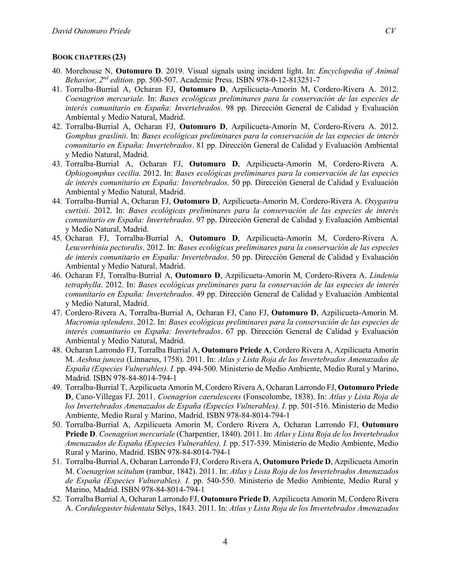### **BOOK CHAPTERS (23)**

- 40. Morehouse N, **Outomuro D**. 2019. Visual signals using incident light. In: *Encyclopedia of Animal Behavior, 2nd edition*. pp. 500-507. Academic Press. ISBN 978-0-12-813251-7
- 41. Torralba-Burrial A, Ocharan FJ, **Outomuro D**, Azpilicueta-Amorín M, Cordero-Rivera A. 2012. *Coenagrion mercuriale*. In: *Bases ecológicas preliminares para la conservación de las especies de interés comunitario en España: Invertebrados*. 98 pp. Dirección General de Calidad y Evaluación Ambiental y Medio Natural, Madrid.
- 42. Torralba-Burrial A, Ocharan FJ, **Outomuro D**, Azpilicueta-Amorín M, Cordero-Rivera A. 2012. *Gomphus graslinii*. In: *Bases ecológicas preliminares para la conservación de las especies de interés comunitario en España: Invertebrados*. 81 pp. Dirección General de Calidad y Evaluación Ambiental y Medio Natural, Madrid.
- 43. Torralba-Burrial A, Ocharan FJ, **Outomuro D**, Azpilicueta-Amorín M, Cordero-Rivera A. *Ophiogomphus cecilia*. 2012. In: *Bases ecológicas preliminares para la conservación de las especies de interés comunitario en España: Invertebrados*. 50 pp. Dirección General de Calidad y Evaluación Ambiental y Medio Natural, Madrid.
- 44. Torralba-Burrial A, Ocharan FJ, **Outomuro D**, Azpilicueta-Amorín M, Cordero-Rivera A. *Oxygastra curtisii*. 2012. In: *Bases ecológicas preliminares para la conservación de las especies de interés comunitario en España: Invertebrados*. 97 pp. Dirección General de Calidad y Evaluación Ambiental y Medio Natural, Madrid.
- 45. Ocharan FJ, Torralba-Burrial A, **Outomuro D**, Azpilicueta-Amorín M, Cordero-Rivera A. *Leucorrhinia pectoralis*. 2012. In: *Bases ecológicas preliminares para la conservación de las especies de interés comunitario en España: Invertebrados*. 50 pp. Dirección General de Calidad y Evaluación Ambiental y Medio Natural, Madrid.
- 46. Ocharan FJ, Torralba-Burrial A, **Outomuro D**, Azpilicueta-Amorín M, Cordero-Rivera A. *Lindenia tetraphylla*. 2012. In: *Bases ecológicas preliminares para la conservación de las especies de interés comunitario en España: Invertebrados*. 49 pp. Dirección General de Calidad y Evaluación Ambiental y Medio Natural, Madrid.
- 47. Cordero-Rivera A, Torralba-Burrial A, Ocharan FJ, Cano FJ, **Outomuro D**, Azpilicueta-Amorín M. *Macromia splendens*. 2012. In: *Bases ecológicas preliminares para la conservación de las especies de interés comunitario en España: Invertebrados*. 67 pp. Dirección General de Calidad y Evaluación Ambiental y Medio Natural, Madrid.
- 48. Ocharan Larrondo FJ, Torralba Burrial A, **Outomuro Priede A**, Cordero Rivera A, Azpilicueta Amorín M. *Aeshna juncea* (Linnaeus, 1758). 2011. In: *Atlas y Lista Roja de los Invertebrados Amenazados de España (Especies Vulnerables). I.* pp. 494-500. Ministerio de Medio Ambiente, Medio Rural y Marino, Madrid. ISBN 978-84-8014-794-1
- 49. Torralba-Burrial T, Azpilicueta Amorín M, Cordero Rivera A, Ocharan Larrondo FJ, **Outomuro Priede D**, Cano-Villegas FJ. 2011. *Coenagrion caerulescens* (Fonscolombe, 1838). In: *Atlas y Lista Roja de los Invertebrados Amenazados de España (Especies Vulnerables). I.* pp. 501-516. Ministerio de Medio Ambiente, Medio Rural y Marino, Madrid. ISBN 978-84-8014-794-1
- 50. Torralba-Burrial A, Azpilicueta Amorín M, Cordero Rivera A, Ocharan Larrondo FJ, **Outomuro Priede D**. *Coenagrion mercuriale* (Charpentier, 1840). 2011. In: *Atlas y Lista Roja de los Invertebrados Amenazados de España (Especies Vulnerables). I.* pp. 517-539. Ministerio de Medio Ambiente, Medio Rural y Marino, Madrid. ISBN 978-84-8014-794-1
- 51. Torralba-Burrial A, Ocharan Larrondo FJ, Cordero Rivera A, **Outomuro Priede D**, Azpilicueta Amorín M. *Coenagrion scitulum* (rambur, 1842). 2011. In: *Atlas y Lista Roja de los Invertebrados Amenazados de España (Especies Vulnerables). I.* pp. 540-550. Ministerio de Medio Ambiente, Medio Rural y Marino, Madrid. ISBN 978-84-8014-794-1
- 52. Torralba Burrial A, Ocharan Larrondo FJ, **Outomuro Priede D**, Azpilicueta Amorín M, Cordero Rivera A. *Cordulegaster bidentata* Sélys, 1843. 2011. In: *Atlas y Lista Roja de los Invertebrados Amenazados*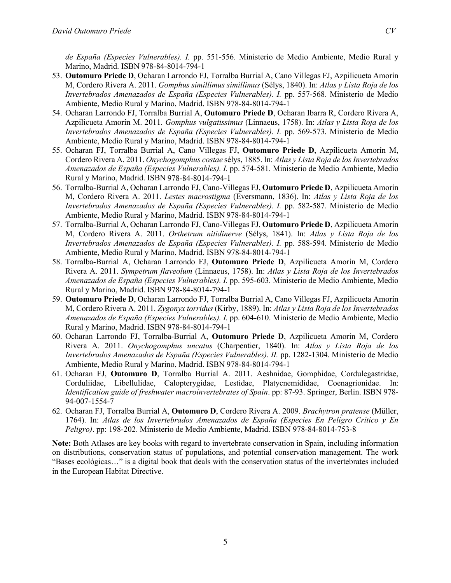*de España (Especies Vulnerables). I.* pp. 551-556. Ministerio de Medio Ambiente, Medio Rural y Marino, Madrid. ISBN 978-84-8014-794-1

- 53. **Outomuro Priede D**, Ocharan Larrondo FJ, Torralba Burrial A, Cano Villegas FJ, Azpilicueta Amorín M, Cordero Rivera A. 2011. *Gomphus simillimus simillimus* (Sélys, 1840). In: *Atlas y Lista Roja de los Invertebrados Amenazados de España (Especies Vulnerables). I.* pp. 557-568. Ministerio de Medio Ambiente, Medio Rural y Marino, Madrid. ISBN 978-84-8014-794-1
- 54. Ocharan Larrondo FJ, Torralba Burrial A, **Outomuro Priede D**, Ocharan Ibarra R, Cordero Rivera A, Azpilicueta Amorín M. 2011. *Gomphus vulgatissimus* (Linnaeus, 1758). In: *Atlas y Lista Roja de los Invertebrados Amenazados de España (Especies Vulnerables). I.* pp. 569-573. Ministerio de Medio Ambiente, Medio Rural y Marino, Madrid. ISBN 978-84-8014-794-1
- 55. Ocharan FJ, Torralba Burrial A, Cano Villegas FJ, **Outomuro Priede D**, Azpilicueta Amorín M, Cordero Rivera A. 2011. *Onychogomphus costae* sélys, 1885. In: *Atlas y Lista Roja de los Invertebrados Amenazados de España (Especies Vulnerables). I.* pp. 574-581. Ministerio de Medio Ambiente, Medio Rural y Marino, Madrid. ISBN 978-84-8014-794-1
- 56. Torralba-Burrial A, Ocharan Larrondo FJ, Cano-Villegas FJ, **Outomuro Priede D**, Azpilicueta Amorín M, Cordero Rivera A. 2011. *Lestes macrostigma* (Eversmann, 1836). In: *Atlas y Lista Roja de los Invertebrados Amenazados de España (Especies Vulnerables). I.* pp. 582-587. Ministerio de Medio Ambiente, Medio Rural y Marino, Madrid. ISBN 978-84-8014-794-1
- 57. Torralba-Burrial A, Ocharan Larrondo FJ, Cano-Villegas FJ, **Outomuro Priede D**, Azpilicueta Amorín M, Cordero Rivera A. 2011. *Orthetrum nitidinerve* (Sélys, 1841). In: *Atlas y Lista Roja de los Invertebrados Amenazados de España (Especies Vulnerables). I.* pp. 588-594. Ministerio de Medio Ambiente, Medio Rural y Marino, Madrid. ISBN 978-84-8014-794-1
- 58. Torralba-Burrial A, Ocharan Larrondo FJ, **Outomuro Priede D**, Azpilicueta Amorín M, Cordero Rivera A. 2011. *Sympetrum flaveolum* (Linnaeus, 1758). In: *Atlas y Lista Roja de los Invertebrados Amenazados de España (Especies Vulnerables). I.* pp. 595-603. Ministerio de Medio Ambiente, Medio Rural y Marino, Madrid. ISBN 978-84-8014-794-1
- 59. **Outomuro Priede D**, Ocharan Larrondo FJ, Torralba Burrial A, Cano Villegas FJ, Azpilicueta Amorín M, Cordero Rivera A. 2011. *Zygonyx torridus* (Kirby, 1889). In: *Atlas y Lista Roja de los Invertebrados Amenazados de España (Especies Vulnerables). I.* pp. 604-610. Ministerio de Medio Ambiente, Medio Rural y Marino, Madrid. ISBN 978-84-8014-794-1
- 60. Ocharan Larrondo FJ, Torralba-Burrial A, **Outomuro Priede D**, Azpilicueta Amorín M, Cordero Rivera A. 2011. *Onychogomphus uncatus* (Charpentier, 1840). In: *Atlas y Lista Roja de los Invertebrados Amenazados de España (Especies Vulnerables). II.* pp. 1282-1304. Ministerio de Medio Ambiente, Medio Rural y Marino, Madrid. ISBN 978-84-8014-794-1
- 61. Ocharan FJ, **Outomuro D**, Torralba Burrial A. 2011. Aeshnidae, Gomphidae, Cordulegastridae, Corduliidae, Libellulidae, Calopterygidae, Lestidae, Platycnemididae, Coenagrionidae. In: *Identification guide of freshwater macroinvertebrates of Spain*. pp: 87-93. Springer, Berlin. ISBN 978- 94-007-1554-7
- 62. Ocharan FJ, Torralba Burrial A, **Outomuro D**, Cordero Rivera A. 2009. *Brachytron pratense* (Müller, 1764). In: *Atlas de los Invertebrados Amenazados de España (Especies En Peligro Crítico y En Peligro)*. pp: 198-202. Ministerio de Medio Ambiente, Madrid. ISBN 978-84-8014-753-8

**Note:** Both Atlases are key books with regard to invertebrate conservation in Spain, including information on distributions, conservation status of populations, and potential conservation management. The work "Bases ecológicas…" is a digital book that deals with the conservation status of the invertebrates included in the European Habitat Directive.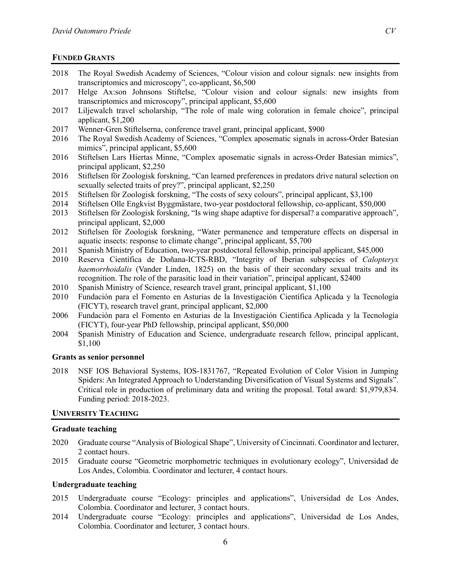### **FUNDED GRANTS**

- 2018 The Royal Swedish Academy of Sciences, "Colour vision and colour signals: new insights from transcriptomics and microscopy", co-applicant, \$6,500
- 2017 Helge Ax:son Johnsons Stiftelse, "Colour vision and colour signals: new insights from transcriptomics and microscopy", principal applicant, \$5,600
- 2017 Liljewalch travel scholarship, "The role of male wing coloration in female choice", principal applicant, \$1,200
- 2017 Wenner-Gren Stiftelserna, conference travel grant, principal applicant, \$900
- 2016 The Royal Swedish Academy of Sciences, "Complex aposematic signals in across-Order Batesian mimics", principal applicant, \$5,600
- 2016 Stiftelsen Lars Hiertas Minne, "Complex aposematic signals in across-Order Batesian mimics", principal applicant, \$2,250
- 2016 Stiftelsen för Zoologisk forskning, "Can learned preferences in predators drive natural selection on sexually selected traits of prey?", principal applicant, \$2,250
- 2015 Stiftelsen för Zoologisk forskning, "The costs of sexy colours", principal applicant, \$3,100
- 2014 Stiftelsen Olle Engkvist Byggmästare, two-year postdoctoral fellowship, co-applicant, \$50,000
- 2013 Stiftelsen för Zoologisk forskning, "Is wing shape adaptive for dispersal? a comparative approach", principal applicant, \$2,000
- 2012 Stiftelsen för Zoologisk forskning, "Water permanence and temperature effects on dispersal in aquatic insects: response to climate change", principal applicant, \$5,700
- 2011 Spanish Ministry of Education, two-year postdoctoral fellowship, principal applicant, \$45,000
- 2010 Reserva Científica de Doñana-ICTS-RBD, "Integrity of Iberian subspecies of *Calopteryx haemorrhoidalis* (Vander Linden, 1825) on the basis of their secondary sexual traits and its recognition. The role of the parasitic load in their variation", principal applicant, \$2400
- 2010 Spanish Ministry of Science, research travel grant, principal applicant, \$1,100
- 2010 Fundación para el Fomento en Asturias de la Investigación Científica Aplicada y la Tecnología (FICYT), research travel grant, principal applicant, \$2,000
- 2006 Fundación para el Fomento en Asturias de la Investigación Científica Aplicada y la Tecnología (FICYT), four-year PhD fellowship, principal applicant, \$50,000
- 2004 Spanish Ministry of Education and Science, undergraduate research fellow, principal applicant, \$1,100

#### **Grants as senior personnel**

2018 NSF IOS Behavioral Systems, IOS-1831767, "Repeated Evolution of Color Vision in Jumping Spiders: An Integrated Approach to Understanding Diversification of Visual Systems and Signals". Critical role in production of preliminary data and writing the proposal. Total award: \$1,979,834. Funding period: 2018-2023.

### **UNIVERSITY TEACHING**

#### **Graduate teaching**

- 2020 Graduate course "Analysis of Biological Shape", University of Cincinnati. Coordinator and lecturer, 2 contact hours.
- 2015 Graduate course "Geometric morphometric techniques in evolutionary ecology", Universidad de Los Andes, Colombia. Coordinator and lecturer, 4 contact hours.

### **Undergraduate teaching**

- 2015 Undergraduate course "Ecology: principles and applications", Universidad de Los Andes, Colombia. Coordinator and lecturer, 3 contact hours.
- 2014 Undergraduate course "Ecology: principles and applications", Universidad de Los Andes, Colombia. Coordinator and lecturer, 3 contact hours.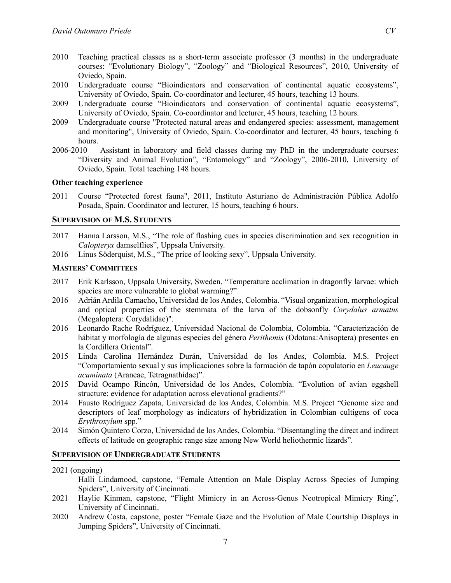- 2010 Teaching practical classes as a short-term associate professor (3 months) in the undergraduate courses: "Evolutionary Biology", "Zoology" and "Biological Resources", 2010, University of Oviedo, Spain.
- 2010 Undergraduate course "Bioindicators and conservation of continental aquatic ecosystems", University of Oviedo, Spain. Co-coordinator and lecturer, 45 hours, teaching 13 hours.
- 2009 Undergraduate course "Bioindicators and conservation of continental aquatic ecosystems", University of Oviedo, Spain. Co-coordinator and lecturer, 45 hours, teaching 12 hours.
- 2009 Undergraduate course "Protected natural areas and endangered species: assessment, management and monitoring", University of Oviedo, Spain. Co-coordinator and lecturer, 45 hours, teaching 6 hours.
- 2006-2010 Assistant in laboratory and field classes during my PhD in the undergraduate courses: "Diversity and Animal Evolution", "Entomology" and "Zoology", 2006-2010, University of Oviedo, Spain. Total teaching 148 hours.

### **Other teaching experience**

2011 Course "Protected forest fauna", 2011, Instituto Asturiano de Administración Pública Adolfo Posada, Spain. Coordinator and lecturer, 15 hours, teaching 6 hours.

### **SUPERVISION OF M.S. STUDENTS**

- 2017 Hanna Larsson, M.S., "The role of flashing cues in species discrimination and sex recognition in *Calopteryx* damselflies", Uppsala University.
- 2016 Linus Söderquist, M.S., "The price of looking sexy", Uppsala University.

### **MASTERS' COMMITTEES**

- 2017 Erik Karlsson, Uppsala University, Sweden. "Temperature acclimation in dragonfly larvae: which species are more vulnerable to global warming?"
- 2016 Adrián Ardila Camacho, Universidad de los Andes, Colombia. "Visual organization, morphological and optical properties of the stemmata of the larva of the dobsonfly *Corydalus armatus* (Megaloptera: Corydalidae)".
- 2016 Leonardo Rache Rodríguez, Universidad Nacional de Colombia, Colombia. "Caracterización de hábitat y morfología de algunas especies del género *Perithemis* (Odotana:Anisoptera) presentes en la Cordillera Oriental".
- 2015 Linda Carolina Hernández Durán, Universidad de los Andes, Colombia. M.S. Project "Comportamiento sexual y sus implicaciones sobre la formación de tapón copulatorio en *Leucauge acuminata* (Araneae, Tetragnathidae)".
- 2015 David Ocampo Rincón, Universidad de los Andes, Colombia. "Evolution of avian eggshell structure: evidence for adaptation across elevational gradients?"
- 2014 Fausto Rodríguez Zapata, Universidad de los Andes, Colombia. M.S. Project "Genome size and descriptors of leaf morphology as indicators of hybridization in Colombian cultigens of coca *Erythroxylum* spp."
- 2014 Simón Quintero Corzo, Universidad de los Andes, Colombia. "Disentangling the direct and indirect effects of latitude on geographic range size among New World heliothermic lizards".

#### **SUPERVISION OF UNDERGRADUATE STUDENTS**

#### 2021 (ongoing)

Halli Lindamood, capstone, "Female Attention on Male Display Across Species of Jumping Spiders", University of Cincinnati.

- 2021 Haylie Kinman, capstone, "Flight Mimicry in an Across-Genus Neotropical Mimicry Ring", University of Cincinnati.
- 2020 Andrew Costa, capstone, poster "Female Gaze and the Evolution of Male Courtship Displays in Jumping Spiders", University of Cincinnati.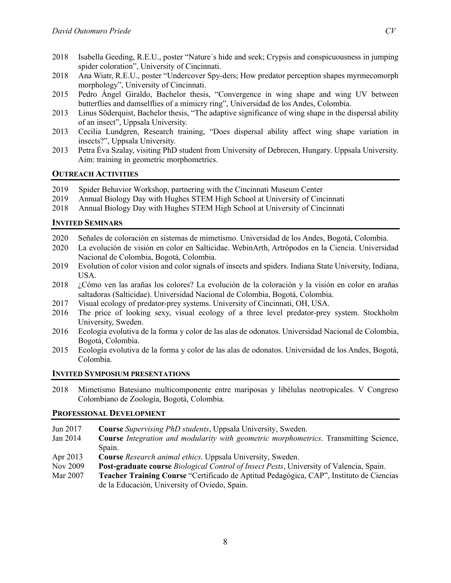- 2018 Isabella Geeding, R.E.U., poster "Nature´s hide and seek; Crypsis and conspicuousness in jumping spider coloration", University of Cincinnati.
- 2018 Ana Wiatr, R.E.U., poster "Undercover Spy-ders; How predator perception shapes myrmecomorph morphology", University of Cincinnati.
- 2015 Pedro Ángel Giraldo, Bachelor thesis, "Convergence in wing shape and wing UV between butterflies and damselflies of a mimicry ring", Universidad de los Andes, Colombia.
- 2013 Linus Söderquist, Bachelor thesis, "The adaptive significance of wing shape in the dispersal ability of an insect", Uppsala University.
- 2013 Cecilia Lundgren, Research training, "Does dispersal ability affect wing shape variation in insects?", Uppsala University.
- 2013 Petra Éva Szalay, visiting PhD student from University of Debrecen, Hungary. Uppsala University. Aim: training in geometric morphometrics.

# **OUTREACH ACTIVITIES**

- 2019 Spider Behavior Workshop, partnering with the Cincinnati Museum Center
- 2019 Annual Biology Day with Hughes STEM High School at University of Cincinnati
- 2018 Annual Biology Day with Hughes STEM High School at University of Cincinnati

# **INVITED SEMINARS**

- 2020 Señales de coloración en sistemas de mimetismo. Universidad de los Andes, Bogotá, Colombia.
- 2020 La evolución de visión en color en Salticidae. WebinArth, Artrópodos en la Ciencia. Universidad Nacional de Colombia, Bogotá, Colombia.
- 2019 Evolution of color vision and color signals of insects and spiders. Indiana State University, Indiana, USA.
- 2018 ¿Cómo ven las arañas los colores? La evolución de la coloración y la visión en color en arañas saltadoras (Salticidae). Universidad Nacional de Colombia, Bogotá, Colombia.
- 2017 Visual ecology of predator-prey systems. University of Cincinnati, OH, USA.
- 2016 The price of looking sexy, visual ecology of a three level predator-prey system. Stockholm University, Sweden.
- 2016 Ecología evolutiva de la forma y color de las alas de odonatos. Universidad Nacional de Colombia, Bogotá, Colombia.
- 2015 Ecología evolutiva de la forma y color de las alas de odonatos. Universidad de los Andes, Bogotá, Colombia.

### **INVITED SYMPOSIUM PRESENTATIONS**

2018 Mimetismo Batesiano multicomponente entre mariposas y libélulas neotropicales. V Congreso Colombiano de Zoología, Bogotá, Colombia.

## **PROFESSIONAL DEVELOPMENT**

- Jun 2017 **Course** *Supervising PhD students*, Uppsala University, Sweden.
- Jan 2014 **Course** *Integration and modularity with geometric morphometrics*. Transmitting Science, Spain.
- Apr 2013 **Course** *Research animal ethics*. Uppsala University, Sweden.
- Nov 2009 **Post-graduate course** *Biological Control of Insect Pests*, University of Valencia, Spain.
- Mar 2007 **Teacher Training Course** "Certificado de Aptitud Pedagógica, CAP", Instituto de Ciencias de la Educación, University of Oviedo, Spain.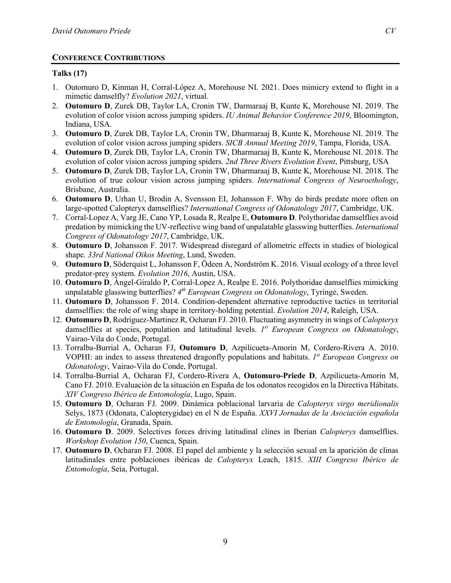# **CONFERENCE CONTRIBUTIONS**

# **Talks (17)**

- 1. Outomuro D, Kinman H, Corral-López A, Morehouse NI. 2021. Does mimicry extend to flight in a mimetic damselfly? *Evolution 2021*, virtual.
- 2. **Outomuro D**, Zurek DB, Taylor LA, Cronin TW, Darmaraaj B, Kunte K, Morehouse NI. 2019. The evolution of color vision across jumping spiders. *IU Animal Behavior Conference 2019*, Bloomington, Indiana, USA.
- 3. **Outomuro D**, Zurek DB, Taylor LA, Cronin TW, Dharmaraaj B, Kunte K, Morehouse NI. 2019. The evolution of color vision across jumping spiders. *SICB Annual Meeting 2019*, Tampa, Florida, USA.
- 4. **Outomuro D**, Zurek DB, Taylor LA, Cronin TW, Dharmaraaj B, Kunte K, Morehouse NI. 2018. The evolution of color vision across jumping spiders. *2nd Three Rivers Evolution Event*, Pittsburg, USA
- 5. **Outomuro D**, Zurek DB, Taylor LA, Cronin TW, Dharmaraaj B, Kunte K, Morehouse NI. 2018. The evolution of true colour vision across jumping spiders. *International Congress of Neuroethology*, Brisbane, Australia.
- 6. **Outomuro D**, Urhan U, Brodin A, Svensson EI, Johansson F. Why do birds predate more often on large-spotted Calopteryx damselflies? *International Congress of Odonatology 2017*, Cambridge, UK.
- 7. Corral-Lopez A, Varg JE, Cano YP, Losada R, Realpe E, **Outomuro D**. Polythoridae damselflies avoid predation by mimicking the UV-reflective wing band of unpalatable glasswing butterflies. *International Congress of Odonatology 2017*, Cambridge, UK.
- 8. **Outomuro D**, Johansson F. 2017. Widespread disregard of allometric effects in studies of biological shape. *33rd National Oikos Meeting*, Lund, Sweden.
- 9. **Outomuro D**, Söderquist L, Johansson F, Ödeen A, Nordström K. 2016. Visual ecology of a three level predator-prey system. *Evolution 2016*, Austin, USA.
- 10. **Outomuro D**, Ángel-Giraldo P, Corral-Lopez A, Realpe E. 2016. Polythoridae damselflies mimicking unpalatable glasswing butterflies? *4th European Congress on Odonatology*, Tyringe, Sweden.
- 11. **Outomuro D**, Johansson F. 2014. Condition-dependent alternative reproductive tactics in territorial damselflies: the role of wing shape in territory-holding potential. *Evolution 2014*, Raleigh, USA.
- 12. **Outomuro D**, Rodriguez-Martinez R, Ocharan FJ. 2010. Fluctuating asymmetry in wings of *Calopteryx* damselflies at species, population and latitudinal levels. *1st European Congress on Odonatology*, Vairao-Vila do Conde, Portugal.
- 13. Torralba-Burrial A, Ocharan FJ, **Outomuro D**, Azpilicueta-Amorin M, Cordero-Rivera A. 2010. VOPHI: an index to assess threatened dragonfly populations and habitats. *1st European Congress on Odonatology*, Vairao-Vila do Conde, Portugal.
- 14. Torralba-Burrial A, Ocharan FJ, Cordero-Rivera A, **Outomuro-Priede D**, Azpilicueta-Amorin M, Cano FJ. 2010. Evaluación de la situación en España de los odonatos recogidos en la Directiva Hábitats. *XIV Congreso Ibérico de Entomología*, Lugo, Spain.
- 15. **Outomuro D**, Ocharan FJ. 2009. Dinámica poblacional larvaria de *Calopteryx virgo meridionalis* Selys, 1873 (Odonata, Calopterygidae) en el N de España. *XXVI Jornadas de la Asociación española de Entomología*, Granada, Spain.
- 16. **Outomuro D**. 2009. Selectives forces driving latitudinal clines in Iberian *Calopteryx* damselflies. *Workshop Evolution 150*, Cuenca, Spain.
- 17. **Outomuro D**, Ocharan FJ. 2008. El papel del ambiente y la selección sexual en la aparición de clinas latitudinales entre poblaciones ibéricas de *Calopteryx* Leach, 1815. *XIII Congreso Ibérico de Entomología*, Seia, Portugal.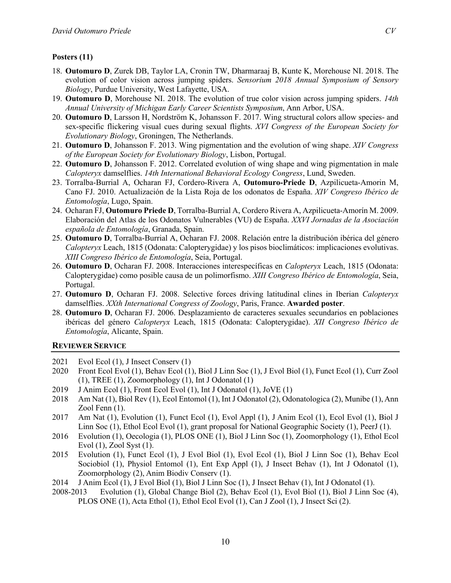### **Posters (11)**

- 18. **Outomuro D**, Zurek DB, Taylor LA, Cronin TW, Dharmaraaj B, Kunte K, Morehouse NI. 2018. The evolution of color vision across jumping spiders. *Sensorium 2018 Annual Symposium of Sensory Biology*, Purdue University, West Lafayette, USA.
- 19. **Outomuro D**, Morehouse NI. 2018. The evolution of true color vision across jumping spiders. *14th Annual University of Michigan Early Career Scientists Symposium*, Ann Arbor, USA.
- 20. **Outomuro D**, Larsson H, Nordström K, Johansson F. 2017. Wing structural colors allow species- and sex-specific flickering visual cues during sexual flights. *XVI Congress of the European Society for Evolutionary Biology*, Groningen, The Netherlands.
- 21. **Outomuro D**, Johansson F. 2013. Wing pigmentation and the evolution of wing shape. *XIV Congress of the European Society for Evolutionary Biology*, Lisbon, Portugal.
- 22. **Outomuro D**, Johansson F. 2012. Correlated evolution of wing shape and wing pigmentation in male *Calopteryx* damselflies. *14th International Behavioral Ecology Congress*, Lund, Sweden.
- 23. Torralba-Burrial A, Ocharan FJ, Cordero-Rivera A, **Outomuro-Priede D**, Azpilicueta-Amorin M, Cano FJ. 2010. Actualización de la Lista Roja de los odonatos de España. *XIV Congreso Ibérico de Entomología*, Lugo, Spain.
- 24. Ocharan FJ, **Outomuro Priede D**, Torralba-Burrial A, Cordero Rivera A, Azpilicueta-Amorín M. 2009. Elaboración del Atlas de los Odonatos Vulnerables (VU) de España. *XXVI Jornadas de la Asociación española de Entomología*, Granada, Spain.
- 25. **Outomuro D**, Torralba-Burrial A, Ocharan FJ. 2008. Relación entre la distribución ibérica del género *Calopteryx* Leach, 1815 (Odonata: Calopterygidae) y los pisos bioclimáticos: implicaciones evolutivas. *XIII Congreso Ibérico de Entomología*, Seia, Portugal.
- 26. **Outomuro D**, Ocharan FJ. 2008. Interacciones interespecíficas en *Calopteryx* Leach, 1815 (Odonata: Calopterygidae) como posible causa de un polimorfismo. *XIII Congreso Ibérico de Entomología*, Seia, Portugal.
- 27. **Outomuro D**, Ocharan FJ. 2008. Selective forces driving latitudinal clines in Iberian *Calopteryx* damselflies. *XXth International Congress of Zoology*, Paris, France. **Awarded poster**.
- 28. **Outomuro D**, Ocharan FJ. 2006. Desplazamiento de caracteres sexuales secundarios en poblaciones ibéricas del género *Calopteryx* Leach, 1815 (Odonata: Calopterygidae). *XII Congreso Ibérico de Entomología*, Alicante, Spain.

#### **REVIEWER SERVICE**

- 2021 Evol Ecol (1), J Insect Conserv (1)
- 2020 Front Ecol Evol (1), Behav Ecol (1), Biol J Linn Soc (1), J Evol Biol (1), Funct Ecol (1), Curr Zool (1), TREE (1), Zoomorphology (1), Int J Odonatol (1)
- 2019 J Anim Ecol (1), Front Ecol Evol (1), Int J Odonatol (1), JoVE (1)
- 2018 Am Nat (1), Biol Rev (1), Ecol Entomol (1), Int J Odonatol (2), Odonatologica (2), Munibe (1), Ann Zool Fenn (1).
- 2017 Am Nat (1), Evolution (1), Funct Ecol (1), Evol Appl (1), J Anim Ecol (1), Ecol Evol (1), Biol J Linn Soc (1), Ethol Ecol Evol (1), grant proposal for National Geographic Society (1), PeerJ (1).
- 2016 Evolution (1), Oecologia (1), PLOS ONE (1), Biol J Linn Soc (1), Zoomorphology (1), Ethol Ecol Evol (1), Zool Syst (1).
- 2015 Evolution (1), Funct Ecol (1), J Evol Biol (1), Evol Ecol (1), Biol J Linn Soc (1), Behav Ecol Sociobiol (1), Physiol Entomol (1), Ent Exp Appl (1), J Insect Behav (1), Int J Odonatol (1), Zoomorphology (2), Anim Biodiv Conserv (1).
- 2014 J Anim Ecol (1), J Evol Biol (1), Biol J Linn Soc (1), J Insect Behav (1), Int J Odonatol (1).
- 2008-2013 Evolution (1), Global Change Biol (2), Behav Ecol (1), Evol Biol (1), Biol J Linn Soc (4), PLOS ONE (1), Acta Ethol (1), Ethol Ecol Evol (1), Can J Zool (1), J Insect Sci (2).